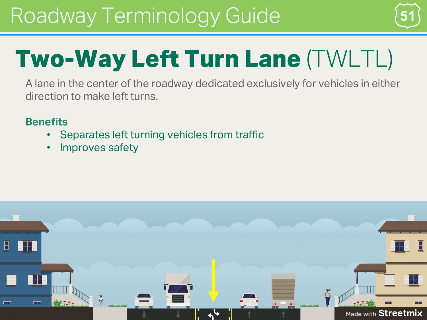

# **Two-Way Left Turn Lane** (TWLTL)

A lane in the center of the roadway dedicated exclusively for vehicles in either direction to make left turns.

- Separates left turning vehicles from traffic
- Improves safety

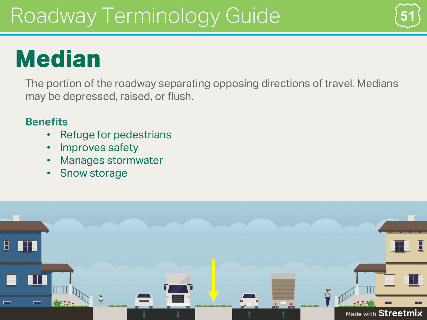# **Median**

The portion of the roadway separating opposing directions of travel. Medians may be depressed, raised, or flush.

- Refuge for pedestrians
- Improves safety
- Manages stormwater
- Snow storage

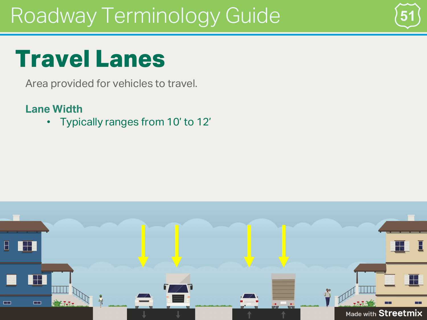

### **Travel Lanes**

Area provided for vehicles to travel.

#### **Lane Width**

• Typically ranges from 10' to 12'

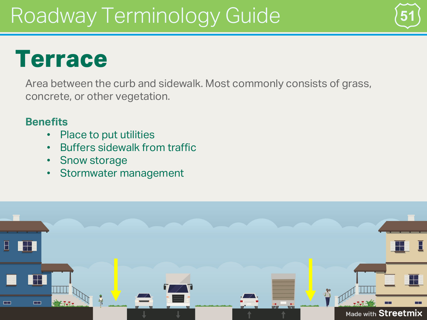#### **Terrace**

Area between the curb and sidewalk. Most commonly consists of grass, concrete, or other vegetation.

- Place to put utilities
- Buffers sidewalk from traffic
- Snow storage
- Stormwater management

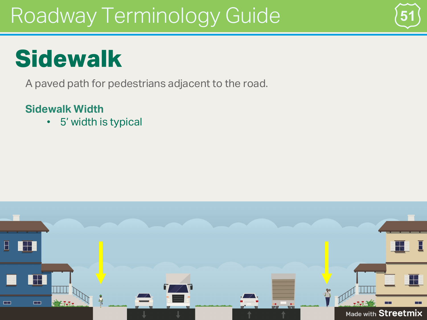

# **Sidewalk**

A paved path for pedestrians adjacent to the road.

#### **Sidewalk Width**

• 5' width is typical

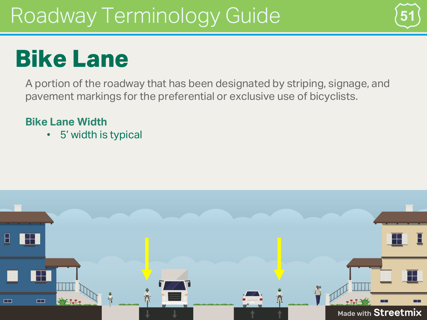

## **Bike Lane**

A portion of the roadway that has been designated by striping, signage, and pavement markings for the preferential or exclusive use of bicyclists.

#### **Bike Lane Width**

• 5' width is typical